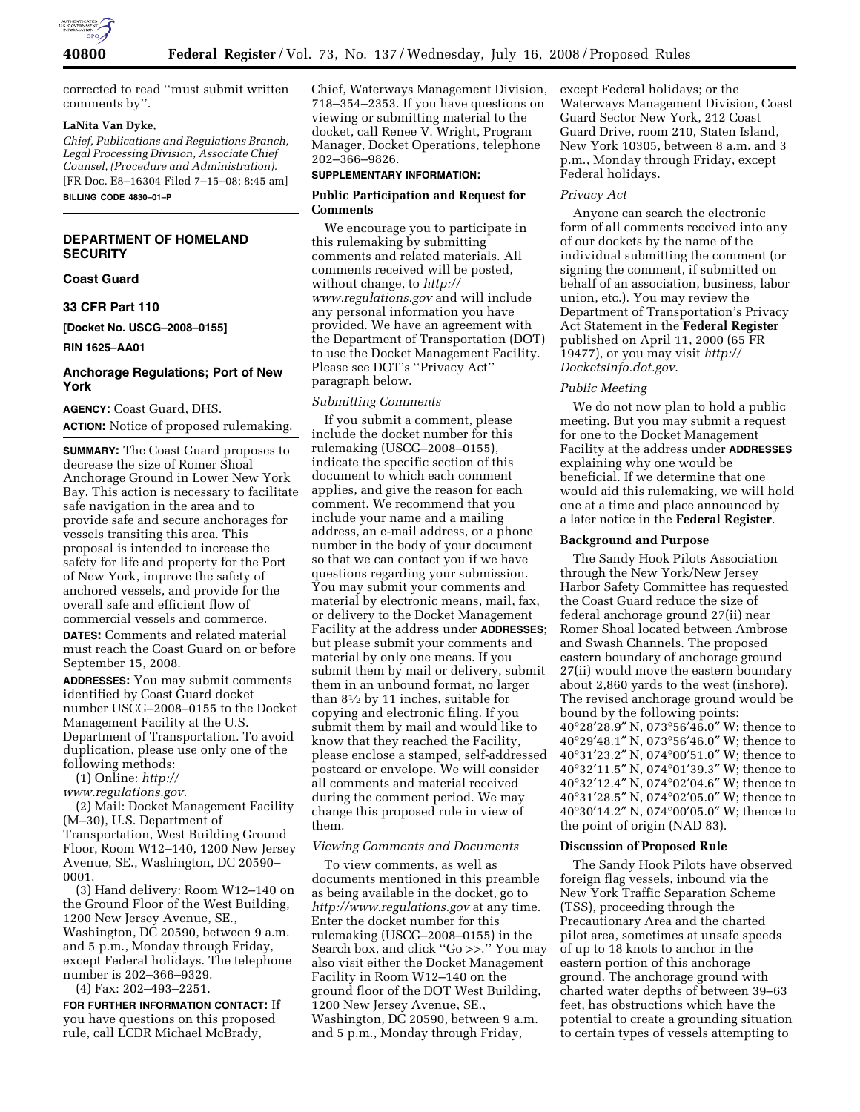

corrected to read ''must submit written comments by''.

## **LaNita Van Dyke,**

*Chief, Publications and Regulations Branch, Legal Processing Division, Associate Chief Counsel, (Procedure and Administration).*  [FR Doc. E8–16304 Filed 7–15–08; 8:45 am]

**BILLING CODE 4830–01–P** 

# **DEPARTMENT OF HOMELAND SECURITY**

**Coast Guard** 

**33 CFR Part 110** 

**[Docket No. USCG–2008–0155]** 

**RIN 1625–AA01** 

## **Anchorage Regulations; Port of New York**

**AGENCY:** Coast Guard, DHS. **ACTION:** Notice of proposed rulemaking.

**SUMMARY:** The Coast Guard proposes to decrease the size of Romer Shoal Anchorage Ground in Lower New York Bay. This action is necessary to facilitate safe navigation in the area and to provide safe and secure anchorages for vessels transiting this area. This proposal is intended to increase the safety for life and property for the Port of New York, improve the safety of anchored vessels, and provide for the overall safe and efficient flow of commercial vessels and commerce.

**DATES:** Comments and related material must reach the Coast Guard on or before September 15, 2008.

**ADDRESSES:** You may submit comments identified by Coast Guard docket number USCG–2008–0155 to the Docket Management Facility at the U.S. Department of Transportation. To avoid duplication, please use only one of the following methods:

(1) Online: *http://* 

*www.regulations.gov*.

(2) Mail: Docket Management Facility (M–30), U.S. Department of Transportation, West Building Ground Floor, Room W12–140, 1200 New Jersey Avenue, SE., Washington, DC 20590– 0001.

(3) Hand delivery: Room W12–140 on the Ground Floor of the West Building, 1200 New Jersey Avenue, SE., Washington, DC 20590, between 9 a.m. and 5 p.m., Monday through Friday, except Federal holidays. The telephone number is 202–366–9329.

(4) Fax: 202–493–2251.

**FOR FURTHER INFORMATION CONTACT:** If you have questions on this proposed rule, call LCDR Michael McBrady,

Chief, Waterways Management Division, 718–354–2353. If you have questions on viewing or submitting material to the docket, call Renee V. Wright, Program Manager, Docket Operations, telephone 202–366–9826.

## **SUPPLEMENTARY INFORMATION:**

## **Public Participation and Request for Comments**

We encourage you to participate in this rulemaking by submitting comments and related materials. All comments received will be posted, without change, to *http:// www.regulations.gov* and will include any personal information you have provided. We have an agreement with the Department of Transportation (DOT) to use the Docket Management Facility. Please see DOT's ''Privacy Act'' paragraph below.

#### *Submitting Comments*

If you submit a comment, please include the docket number for this rulemaking (USCG–2008–0155), indicate the specific section of this document to which each comment applies, and give the reason for each comment. We recommend that you include your name and a mailing address, an e-mail address, or a phone number in the body of your document so that we can contact you if we have questions regarding your submission. You may submit your comments and material by electronic means, mail, fax, or delivery to the Docket Management Facility at the address under **ADDRESSES**; but please submit your comments and material by only one means. If you submit them by mail or delivery, submit them in an unbound format, no larger than 81⁄2 by 11 inches, suitable for copying and electronic filing. If you submit them by mail and would like to know that they reached the Facility, please enclose a stamped, self-addressed postcard or envelope. We will consider all comments and material received during the comment period. We may change this proposed rule in view of them.

## *Viewing Comments and Documents*

To view comments, as well as documents mentioned in this preamble as being available in the docket, go to *http://www.regulations.gov* at any time. Enter the docket number for this rulemaking (USCG–2008–0155) in the Search box, and click ''Go >>.'' You may also visit either the Docket Management Facility in Room W12–140 on the ground floor of the DOT West Building, 1200 New Jersey Avenue, SE., Washington, DC 20590, between 9 a.m. and 5 p.m., Monday through Friday,

except Federal holidays; or the Waterways Management Division, Coast Guard Sector New York, 212 Coast Guard Drive, room 210, Staten Island, New York 10305, between 8 a.m. and 3 p.m., Monday through Friday, except Federal holidays.

#### *Privacy Act*

Anyone can search the electronic form of all comments received into any of our dockets by the name of the individual submitting the comment (or signing the comment, if submitted on behalf of an association, business, labor union, etc.). You may review the Department of Transportation's Privacy Act Statement in the **Federal Register**  published on April 11, 2000 (65 FR 19477), or you may visit *http:// DocketsInfo.dot.gov*.

### *Public Meeting*

We do not now plan to hold a public meeting. But you may submit a request for one to the Docket Management Facility at the address under **ADDRESSES** explaining why one would be beneficial. If we determine that one would aid this rulemaking, we will hold one at a time and place announced by a later notice in the **Federal Register**.

#### **Background and Purpose**

The Sandy Hook Pilots Association through the New York/New Jersey Harbor Safety Committee has requested the Coast Guard reduce the size of federal anchorage ground 27(ii) near Romer Shoal located between Ambrose and Swash Channels. The proposed eastern boundary of anchorage ground 27(ii) would move the eastern boundary about 2,860 yards to the west (inshore). The revised anchorage ground would be bound by the following points: 40°28′28.9″ N, 073°56′46.0″ W; thence to 40°29′48.1″ N, 073°56′46.0″ W; thence to 40°31′23.2″ N, 074°00′51.0″ W; thence to 40°32′11.5″ N, 074°01′39.3″ W; thence to 40°32′12.4″ N, 074°02′04.6″ W; thence to 40°31′28.5″ N, 074°02′05.0″ W; thence to 40°30′14.2″ N, 074°00′05.0″ W; thence to the point of origin (NAD 83).

#### **Discussion of Proposed Rule**

The Sandy Hook Pilots have observed foreign flag vessels, inbound via the New York Traffic Separation Scheme (TSS), proceeding through the Precautionary Area and the charted pilot area, sometimes at unsafe speeds of up to 18 knots to anchor in the eastern portion of this anchorage ground. The anchorage ground with charted water depths of between 39–63 feet, has obstructions which have the potential to create a grounding situation to certain types of vessels attempting to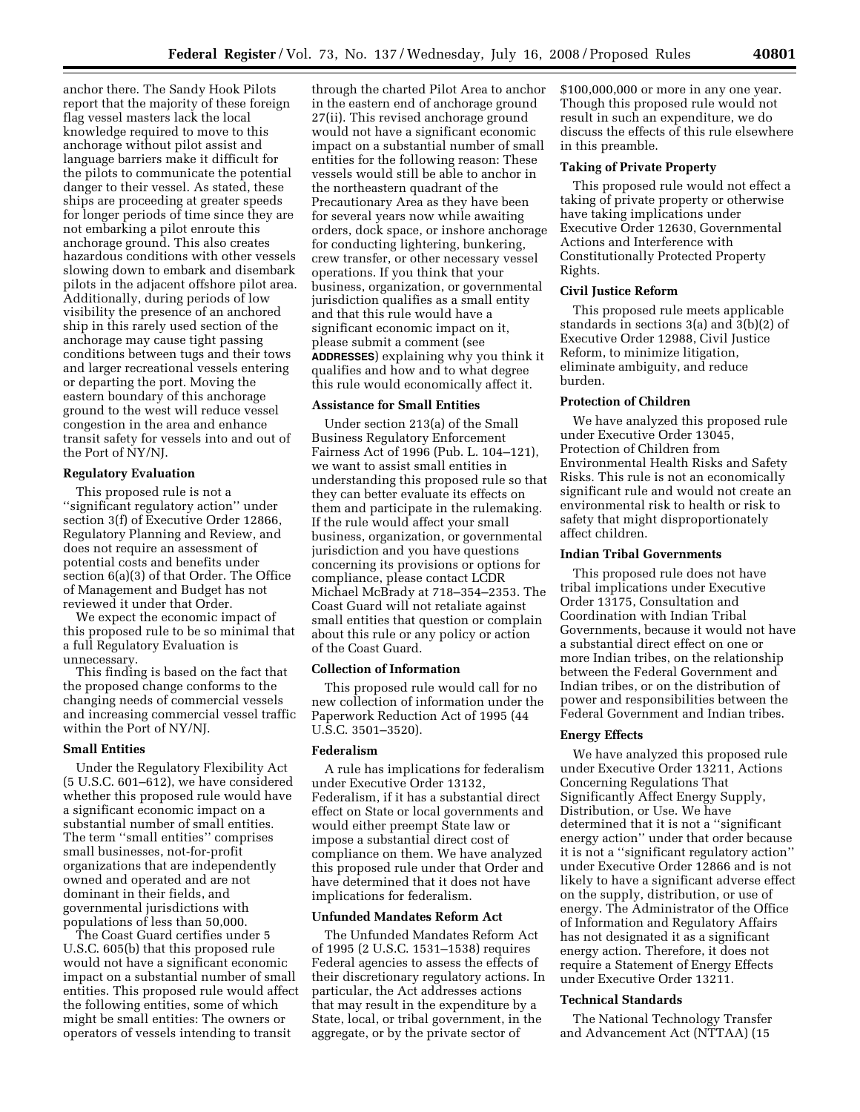anchor there. The Sandy Hook Pilots report that the majority of these foreign flag vessel masters lack the local knowledge required to move to this anchorage without pilot assist and language barriers make it difficult for the pilots to communicate the potential danger to their vessel. As stated, these ships are proceeding at greater speeds for longer periods of time since they are not embarking a pilot enroute this anchorage ground. This also creates hazardous conditions with other vessels slowing down to embark and disembark pilots in the adjacent offshore pilot area. Additionally, during periods of low visibility the presence of an anchored ship in this rarely used section of the anchorage may cause tight passing conditions between tugs and their tows and larger recreational vessels entering or departing the port. Moving the eastern boundary of this anchorage ground to the west will reduce vessel congestion in the area and enhance transit safety for vessels into and out of the Port of NY/NJ.

#### **Regulatory Evaluation**

This proposed rule is not a ''significant regulatory action'' under section 3(f) of Executive Order 12866, Regulatory Planning and Review, and does not require an assessment of potential costs and benefits under section 6(a)(3) of that Order. The Office of Management and Budget has not reviewed it under that Order.

We expect the economic impact of this proposed rule to be so minimal that a full Regulatory Evaluation is unnecessary.

This finding is based on the fact that the proposed change conforms to the changing needs of commercial vessels and increasing commercial vessel traffic within the Port of NY/NJ.

### **Small Entities**

Under the Regulatory Flexibility Act (5 U.S.C. 601–612), we have considered whether this proposed rule would have a significant economic impact on a substantial number of small entities. The term ''small entities'' comprises small businesses, not-for-profit organizations that are independently owned and operated and are not dominant in their fields, and governmental jurisdictions with populations of less than 50,000.

The Coast Guard certifies under 5 U.S.C. 605(b) that this proposed rule would not have a significant economic impact on a substantial number of small entities. This proposed rule would affect the following entities, some of which might be small entities: The owners or operators of vessels intending to transit

through the charted Pilot Area to anchor in the eastern end of anchorage ground 27(ii). This revised anchorage ground would not have a significant economic impact on a substantial number of small entities for the following reason: These vessels would still be able to anchor in the northeastern quadrant of the Precautionary Area as they have been for several years now while awaiting orders, dock space, or inshore anchorage for conducting lightering, bunkering, crew transfer, or other necessary vessel operations. If you think that your business, organization, or governmental jurisdiction qualifies as a small entity and that this rule would have a significant economic impact on it, please submit a comment (see **ADDRESSES**) explaining why you think it qualifies and how and to what degree this rule would economically affect it.

## **Assistance for Small Entities**

Under section 213(a) of the Small Business Regulatory Enforcement Fairness Act of 1996 (Pub. L. 104–121), we want to assist small entities in understanding this proposed rule so that they can better evaluate its effects on them and participate in the rulemaking. If the rule would affect your small business, organization, or governmental jurisdiction and you have questions concerning its provisions or options for compliance, please contact LCDR Michael McBrady at 718–354–2353. The Coast Guard will not retaliate against small entities that question or complain about this rule or any policy or action of the Coast Guard.

## **Collection of Information**

This proposed rule would call for no new collection of information under the Paperwork Reduction Act of 1995 (44 U.S.C. 3501–3520).

### **Federalism**

A rule has implications for federalism under Executive Order 13132, Federalism, if it has a substantial direct effect on State or local governments and would either preempt State law or impose a substantial direct cost of compliance on them. We have analyzed this proposed rule under that Order and have determined that it does not have implications for federalism.

## **Unfunded Mandates Reform Act**

The Unfunded Mandates Reform Act of 1995 (2 U.S.C. 1531–1538) requires Federal agencies to assess the effects of their discretionary regulatory actions. In particular, the Act addresses actions that may result in the expenditure by a State, local, or tribal government, in the aggregate, or by the private sector of

\$100,000,000 or more in any one year. Though this proposed rule would not result in such an expenditure, we do discuss the effects of this rule elsewhere in this preamble.

## **Taking of Private Property**

This proposed rule would not effect a taking of private property or otherwise have taking implications under Executive Order 12630, Governmental Actions and Interference with Constitutionally Protected Property Rights.

## **Civil Justice Reform**

This proposed rule meets applicable standards in sections 3(a) and 3(b)(2) of Executive Order 12988, Civil Justice Reform, to minimize litigation, eliminate ambiguity, and reduce burden.

#### **Protection of Children**

We have analyzed this proposed rule under Executive Order 13045, Protection of Children from Environmental Health Risks and Safety Risks. This rule is not an economically significant rule and would not create an environmental risk to health or risk to safety that might disproportionately affect children.

### **Indian Tribal Governments**

This proposed rule does not have tribal implications under Executive Order 13175, Consultation and Coordination with Indian Tribal Governments, because it would not have a substantial direct effect on one or more Indian tribes, on the relationship between the Federal Government and Indian tribes, or on the distribution of power and responsibilities between the Federal Government and Indian tribes.

#### **Energy Effects**

We have analyzed this proposed rule under Executive Order 13211, Actions Concerning Regulations That Significantly Affect Energy Supply, Distribution, or Use. We have determined that it is not a ''significant energy action'' under that order because it is not a ''significant regulatory action'' under Executive Order 12866 and is not likely to have a significant adverse effect on the supply, distribution, or use of energy. The Administrator of the Office of Information and Regulatory Affairs has not designated it as a significant energy action. Therefore, it does not require a Statement of Energy Effects under Executive Order 13211.

## **Technical Standards**

The National Technology Transfer and Advancement Act (NTTAA) (15